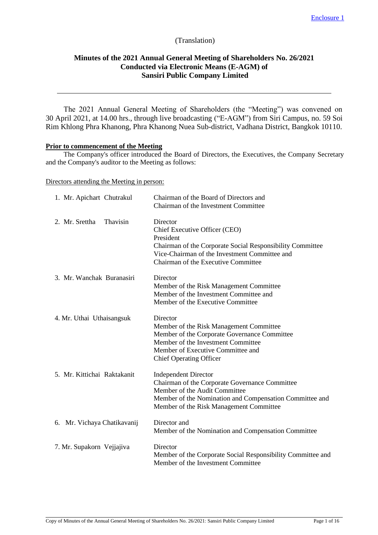# (Translation)

# **Minutes of the 2021 Annual General Meeting of Shareholders No. 26/2021 Conducted via Electronic Means (E-AGM) of Sansiri Public Company Limited**

The 2021 Annual General Meeting of Shareholders (the "Meeting") was convened on 30 April 2021, at 14.00 hrs., through live broadcasting ("E-AGM") from Siri Campus, no. 59 Soi Rim Khlong Phra Khanong, Phra Khanong Nuea Sub-district, Vadhana District, Bangkok 10110.

## **Prior to commencement of the Meeting**

The Company's officer introduced the Board of Directors, the Executives, the Company Secretary and the Company's auditor to the Meeting as follows:

Directors attending the Meeting in person:

| 1. Mr. Apichart Chutrakul   | Chairman of the Board of Directors and<br>Chairman of the Investment Committee                                                                                                                                       |
|-----------------------------|----------------------------------------------------------------------------------------------------------------------------------------------------------------------------------------------------------------------|
| 2. Mr. Srettha<br>Thavisin  | Director<br>Chief Executive Officer (CEO)<br>President<br>Chairman of the Corporate Social Responsibility Committee<br>Vice-Chairman of the Investment Committee and<br>Chairman of the Executive Committee          |
| 3. Mr. Wanchak Buranasiri   | Director<br>Member of the Risk Management Committee<br>Member of the Investment Committee and<br>Member of the Executive Committee                                                                                   |
| 4. Mr. Uthai Uthaisangsuk   | Director<br>Member of the Risk Management Committee<br>Member of the Corporate Governance Committee<br>Member of the Investment Committee<br>Member of Executive Committee and<br><b>Chief Operating Officer</b>     |
| 5. Mr. Kittichai Raktakanit | <b>Independent Director</b><br>Chairman of the Corporate Governance Committee<br>Member of the Audit Committee<br>Member of the Nomination and Compensation Committee and<br>Member of the Risk Management Committee |
| 6. Mr. Vichaya Chatikavanij | Director and<br>Member of the Nomination and Compensation Committee                                                                                                                                                  |
| 7. Mr. Supakorn Vejjajiva   | Director<br>Member of the Corporate Social Responsibility Committee and<br>Member of the Investment Committee                                                                                                        |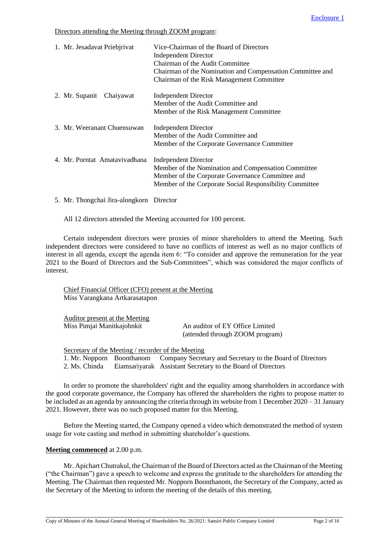# Directors attending the Meeting through ZOOM program:

| 1. Mr. Jesadavat Priebjrivat  | Vice-Chairman of the Board of Directors<br><b>Independent Director</b><br>Chairman of the Audit Committee<br>Chairman of the Nomination and Compensation Committee and<br>Chairman of the Risk Management Committee |
|-------------------------------|---------------------------------------------------------------------------------------------------------------------------------------------------------------------------------------------------------------------|
| 2. Mr. Supanit Chaiyawat      | <b>Independent Director</b><br>Member of the Audit Committee and<br>Member of the Risk Management Committee                                                                                                         |
| 3. Mr. Weeranant Chuensuwan   | <b>Independent Director</b><br>Member of the Audit Committee and<br>Member of the Corporate Governance Committee                                                                                                    |
| 4. Mr. Porntat Amatavivadhana | <b>Independent Director</b><br>Member of the Nomination and Compensation Committee<br>Member of the Corporate Governance Committee and<br>Member of the Corporate Social Responsibility Committee                   |
|                               |                                                                                                                                                                                                                     |

5. Mr. Thongchai Jira-alongkorn Director

All 12 directors attended the Meeting accounted for 100 percent.

Certain independent directors were proxies of minor shareholders to attend the Meeting. Such independent directors were considered to have no conflicts of interest as well as no major conflicts of interest in all agenda, except the agenda item 6: "To consider and approve the remuneration for the year 2021 to the Board of Directors and the Sub-Committees", which was considered the major conflicts of interest.

Chief Financial Officer (CFO) present at the Meeting Miss Varangkana Artkarasatapon

| Auditor present at the Meeting |                                                                    |
|--------------------------------|--------------------------------------------------------------------|
| Miss Pimjai Manitkajohnkit     | An auditor of EY Office Limited<br>(attended through ZOOM program) |
|                                |                                                                    |

Secretary of the Meeting / recorder of the Meeting 1. Mr. Nopporn Boonthanom Company Secretary and Secretary to the Board of Directors 2. Ms. Chinda Eiamsariyarak Assistant Secretary to the Board of Directors

In order to promote the shareholders' right and the equality among shareholders in accordance with the good corporate governance, the Company has offered the shareholders the rights to propose matter to be included as an agenda by announcing the criteria through its website from 1 December 2020 – 31 January 2021. However, there was no such proposed matter for this Meeting.

Before the Meeting started, the Company opened a video which demonstrated the method of system usage for vote casting and method in submitting shareholder's questions.

# **Meeting commenced** at 2.00 p.m.

Mr. Apichart Chutrakul, the Chairman of the Board of Directors acted as the Chairman of the Meeting ("the Chairman") gave a speech to welcome and express the gratitude to the shareholders for attending the Meeting. The Chairman then requested Mr. Nopporn Boonthanom, the Secretary of the Company, acted as the Secretary of the Meeting to inform the meeting of the details of this meeting.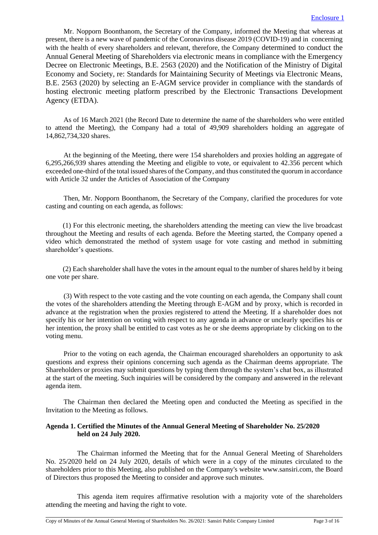Mr. Nopporn Boonthanom, the Secretary of the Company, informed the Meeting that whereas at present, there is a new wave of pandemic of the Coronavirus disease 2019 (COVID-19) and in concerning with the health of every shareholders and relevant, therefore, the Company determined to conduct the Annual General Meeting of Shareholders via electronic means in compliance with the Emergency Decree on Electronic Meetings, B.E. 2563 (2020) and the Notification of the Ministry of Digital Economy and Society, re: Standards for Maintaining Security of Meetings via Electronic Means, B.E. 2563 (2020) by selecting an E-AGM service provider in compliance with the standards of hosting electronic meeting platform prescribed by the Electronic Transactions Development Agency (ETDA).

As of 16 March 2021 (the Record Date to determine the name of the shareholders who were entitled to attend the Meeting), the Company had a total of 49,909 shareholders holding an aggregate of 14,862,734,320 shares.

At the beginning of the Meeting, there were 154 shareholders and proxies holding an aggregate of 6,295,266,939 shares attending the Meeting and eligible to vote, or equivalent to 42.356 percent which exceeded one-third of the total issued shares of the Company, and thus constituted the quorum in accordance with Article 32 under the Articles of Association of the Company

Then, Mr. Nopporn Boonthanom, the Secretary of the Company, clarified the procedures for vote casting and counting on each agenda, as follows:

(1) For this electronic meeting, the shareholders attending the meeting can view the live broadcast throughout the Meeting and results of each agenda. Before the Meeting started, the Company opened a video which demonstrated the method of system usage for vote casting and method in submitting shareholder's questions.

(2) Each shareholder shall have the votes in the amount equal to the number of shares held by it being one vote per share.

(3) With respect to the vote casting and the vote counting on each agenda, the Company shall count the votes of the shareholders attending the Meeting through E-AGM and by proxy, which is recorded in advance at the registration when the proxies registered to attend the Meeting. If a shareholder does not specify his or her intention on voting with respect to any agenda in advance or unclearly specifies his or her intention, the proxy shall be entitled to cast votes as he or she deems appropriate by clicking on to the voting menu.

Prior to the voting on each agenda, the Chairman encouraged shareholders an opportunity to ask questions and express their opinions concerning such agenda as the Chairman deems appropriate. The Shareholders or proxies may submit questions by typing them through the system's chat box, as illustrated at the start of the meeting. Such inquiries will be considered by the company and answered in the relevant agenda item.

The Chairman then declared the Meeting open and conducted the Meeting as specified in the Invitation to the Meeting as follows.

## **Agenda 1. Certified the Minutes of the Annual General Meeting of Shareholder No. 25/2020 held on 24 July 2020.**

The Chairman informed the Meeting that for the Annual General Meeting of Shareholders No. 25/2020 held on 24 July 2020, details of which were in a copy of the minutes circulated to the shareholders prior to this Meeting, also published on the Company's website www.sansiri.com, the Board of Directors thus proposed the Meeting to consider and approve such minutes.

This agenda item requires affirmative resolution with a majority vote of the shareholders attending the meeting and having the right to vote.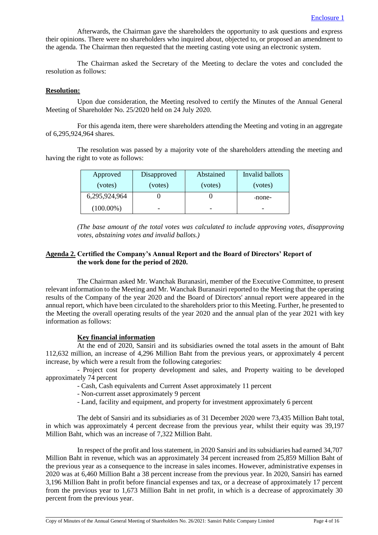Afterwards, the Chairman gave the shareholders the opportunity to ask questions and express their opinions. There were no shareholders who inquired about, objected to, or proposed an amendment to the agenda. The Chairman then requested that the meeting casting vote using an electronic system.

The Chairman asked the Secretary of the Meeting to declare the votes and concluded the resolution as follows:

#### **Resolution:**

Upon due consideration, the Meeting resolved to certify the Minutes of the Annual General Meeting of Shareholder No. 25/2020 held on 24 July 2020.

For this agenda item, there were shareholders attending the Meeting and voting in an aggregate of 6,295,924,964 shares.

The resolution was passed by a majority vote of the shareholders attending the meeting and having the right to vote as follows:

| Approved      | Disapproved | Abstained | Invalid ballots |
|---------------|-------------|-----------|-----------------|
| (votes)       | (votes)     | (votes)   | (votes)         |
| 6,295,924,964 |             |           | -none-          |
| $(100.00\%)$  |             | -         |                 |

*(The base amount of the total votes was calculated to include approving votes, disapproving votes, abstaining votes and invalid ballots.)*

# **Agenda 2. Certified the Company's Annual Report and the Board of Directors' Report of the work done for the period of 2020.**

The Chairman asked Mr. Wanchak Buranasiri, member of the Executive Committee, to present relevant information to the Meeting and Mr. Wanchak Buranasiri reported to the Meeting that the operating results of the Company of the year 2020 and the Board of Directors' annual report were appeared in the annual report, which have been circulated to the shareholders prior to this Meeting. Further, he presented to the Meeting the overall operating results of the year 2020 and the annual plan of the year 2021 with key information as follows:

# **Key financial information**

At the end of 2020, Sansiri and its subsidiaries owned the total assets in the amount of Baht 112,632 million, an increase of 4,296 Million Baht from the previous years, or approximately 4 percent increase, by which were a result from the following categories:

- Project cost for property development and sales, and Property waiting to be developed approximately 74 percent

- Cash, Cash equivalents and Current Asset approximately 11 percent

- Non-current asset approximately 9 percent
- Land, facility and equipment, and property for investment approximately 6 percent

The debt of Sansiri and its subsidiaries as of 31 December 2020 were 73,435 Million Baht total, in which was approximately 4 percent decrease from the previous year, whilst their equity was 39,197 Million Baht, which was an increase of 7,322 Million Baht.

In respect of the profit and loss statement, in 2020 Sansiri and its subsidiaries had earned 34,707 Million Baht in revenue, which was an approximately 34 percent increased from 25,859 Million Baht of the previous year as a consequence to the increase in sales incomes. However, administrative expenses in 2020 was at 6,460 Million Baht a 38 percent increase from the previous year. In 2020, Sansiri has earned 3,196 Million Baht in profit before financial expenses and tax, or a decrease of approximately 17 percent from the previous year to 1,673 Million Baht in net profit, in which is a decrease of approximately 30 percent from the previous year.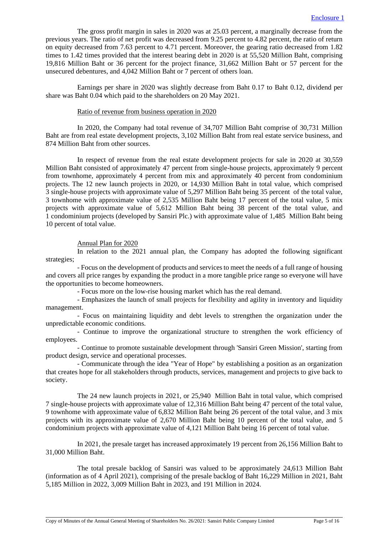The gross profit margin in sales in 2020 was at 25.03 percent, a marginally decrease from the previous years. The ratio of net profit was decreased from 9.25 percent to 4.82 percent, the ratio of return on equity decreased from 7.63 percent to 4.71 percent. Moreover, the gearing ratio decreased from 1.82 times to 1.42 times provided that the interest bearing debt in 2020 is at 55,520 Million Baht, comprising 19,816 Million Baht or 36 percent for the project finance, 31,662 Million Baht or 57 percent for the unsecured debentures, and 4,042 Million Baht or 7 percent of others loan.

Earnings per share in 2020 was slightly decrease from Baht 0.17 to Baht 0.12, dividend per share was Baht 0.04 which paid to the shareholders on 20 May 2021.

# Ratio of revenue from business operation in 2020

In 2020, the Company had total revenue of 34,707 Million Baht comprise of 30,731 Million Baht are from real estate development projects, 3,102 Million Baht from real estate service business, and 874 Million Baht from other sources.

In respect of revenue from the real estate development projects for sale in 2020 at 30,559 Million Baht consisted of approximately 47 percent from single-house projects, approximately 9 percent from townhome, approximately 4 percent from mix and approximately 40 percent from condominium projects. The 12 new launch projects in 2020, or 14,930 Million Baht in total value, which comprised 3 single-house projects with approximate value of 5,297 Million Baht being 35 percent of the total value, 3 townhome with approximate value of 2,535 Million Baht being 17 percent of the total value, 5 mix projects with approximate value of 5,612 Million Baht being 38 percent of the total value, and 1 condominium projects (developed by Sansiri Plc.) with approximate value of 1,485 Million Baht being 10 percent of total value.

Annual Plan for 2020

In relation to the 2021 annual plan, the Company has adopted the following significant strategies;

- Focus on the development of products and services to meet the needs of a full range of housing and covers all price ranges by expanding the product in a more tangible price range so everyone will have the opportunities to become homeowners.

- Focus more on the low-rise housing market which has the real demand.

- Emphasizes the launch of small projects for flexibility and agility in inventory and liquidity management.

- Focus on maintaining liquidity and debt levels to strengthen the organization under the unpredictable economic conditions.

- Continue to improve the organizational structure to strengthen the work efficiency of employees.

- Continue to promote sustainable development through 'Sansiri Green Mission', starting from product design, service and operational processes.

- Communicate through the idea "Year of Hope" by establishing a position as an organization that creates hope for all stakeholders through products, services, management and projects to give back to society.

The 24 new launch projects in 2021, or 25,940 Million Baht in total value, which comprised 7 single-house projects with approximate value of 12,316 Million Baht being 47 percent of the total value, 9 townhome with approximate value of 6,832 Million Baht being 26 percent of the total value, and 3 mix projects with its approximate value of 2,670 Million Baht being 10 percent of the total value, and 5 condominium projects with approximate value of 4,121 Million Baht being 16 percent of total value.

In 2021, the presale target has increased approximately 19 percent from 26,156 Million Baht to 31,000 Million Baht.

The total presale backlog of Sansiri was valued to be approximately 24,613 Million Baht (information as of 4 April 2021), comprising of the presale backlog of Baht 16,229 Million in 2021, Baht 5,185 Million in 2022, 3,009 Million Baht in 2023, and 191 Million in 2024.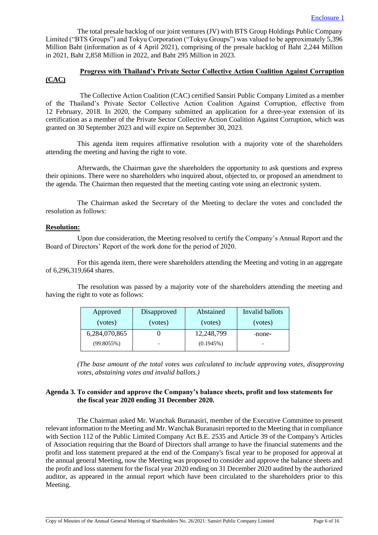The total presale backlog of our joint ventures (JV) with BTS Group Holdings Public Company Limited ("BTS Groups") and Tokyu Corporation ("Tokyu Groups") was valued to be approximately 5,396 Million Baht (information as of 4 April 2021), comprising of the presale backlog of Baht 2,244 Million in 2021, Baht 2,858 Million in 2022, and Baht 295 Million in 2023.

# **Progress with Thailand's Private Sector Collective Action Coalition Against Corruption (CAC)**

The Collective Action Coalition (CAC) certified Sansiri Public Company Limited as a member of the Thailand's Private Sector Collective Action Coalition Against Corruption, effective from 12 February, 2018. In 2020, the Company submitted an application for a three-year extension of its certification as a member of the Private Sector Collective Action Coalition Against Corruption, which was granted on 30 September 2023 and will expire on September 30, 2023.

This agenda item requires affirmative resolution with a majority vote of the shareholders attending the meeting and having the right to vote.

Afterwards, the Chairman gave the shareholders the opportunity to ask questions and express their opinions. There were no shareholders who inquired about, objected to, or proposed an amendment to the agenda. The Chairman then requested that the meeting casting vote using an electronic system.

The Chairman asked the Secretary of the Meeting to declare the votes and concluded the resolution as follows:

## **Resolution:**

Upon due consideration, the Meeting resolved to certify the Company's Annual Report and the Board of Directors' Report of the work done for the period of 2020.

For this agenda item, there were shareholders attending the Meeting and voting in an aggregate of 6,296,319,664 shares.

The resolution was passed by a majority vote of the shareholders attending the meeting and having the right to vote as follows:

| Approved      | Disapproved | Abstained    | Invalid ballots |
|---------------|-------------|--------------|-----------------|
| (votes)       | (votes)     | (votes)      | (votes)         |
| 6,284,070,865 |             | 12,248,799   | -none-          |
| (99.8055%)    |             | $(0.1945\%)$ |                 |

*(The base amount of the total votes was calculated to include approving votes, disapproving votes, abstaining votes and invalid ballots.)*

# **Agenda 3. To consider and approve the Company's balance sheets, profit and loss statements for the fiscal year 2020 ending 31 December 2020.**

The Chairman asked Mr. Wanchak Buranasiri, member of the Executive Committee to present relevant information to the Meeting and Mr. Wanchak Buranasiri reported to the Meeting that in compliance with Section 112 of the Public Limited Company Act B.E. 2535 and Article 39 of the Company's Articles of Association requiring that the Board of Directors shall arrange to have the financial statements and the profit and loss statement prepared at the end of the Company's fiscal year to be proposed for approval at the annual general Meeting, now the Meeting was proposed to consider and approve the balance sheets and the profit and loss statement for the fiscal year 2020 ending on 31 December 2020 audited by the authorized auditor, as appeared in the annual report which have been circulated to the shareholders prior to this Meeting.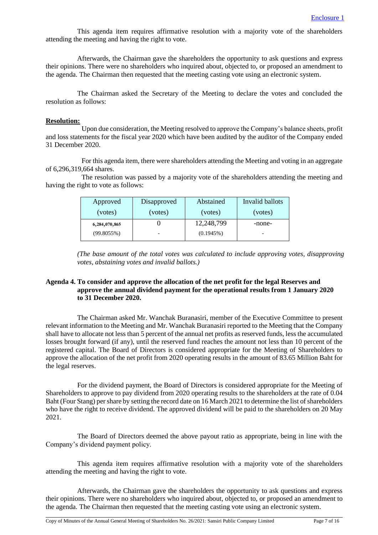This agenda item requires affirmative resolution with a majority vote of the shareholders attending the meeting and having the right to vote.

Afterwards, the Chairman gave the shareholders the opportunity to ask questions and express their opinions. There were no shareholders who inquired about, objected to, or proposed an amendment to the agenda. The Chairman then requested that the meeting casting vote using an electronic system.

The Chairman asked the Secretary of the Meeting to declare the votes and concluded the resolution as follows:

#### **Resolution:**

Upon due consideration, the Meeting resolved to approve the Company's balance sheets, profit and loss statements for the fiscal year 2020 which have been audited by the auditor of the Company ended 31 December 2020.

For this agenda item, there were shareholders attending the Meeting and voting in an aggregate of 6,296,319,664 shares.

The resolution was passed by a majority vote of the shareholders attending the meeting and having the right to vote as follows:

| Approved      | Disapproved | Abstained    | Invalid ballots |
|---------------|-------------|--------------|-----------------|
| (votes)       | (votes)     | (votes)      | (votes)         |
| 6,284,070,865 |             | 12,248,799   | -none-          |
| $(99.8055\%)$ |             | $(0.1945\%)$ |                 |

*(The base amount of the total votes was calculated to include approving votes, disapproving votes, abstaining votes and invalid ballots.)*

# **Agenda 4. To consider and approve the allocation of the net profit for the legal Reserves and approve the annual dividend payment for the operational results from 1 January 2020 to 31 December 2020.**

The Chairman asked Mr. Wanchak Buranasiri, member of the Executive Committee to present relevant information to the Meeting and Mr. Wanchak Buranasiri reported to the Meeting that the Company shall have to allocate not less than 5 percent of the annual net profits as reserved funds, less the accumulated losses brought forward (if any), until the reserved fund reaches the amount not less than 10 percent of the registered capital. The Board of Directors is considered appropriate for the Meeting of Shareholders to approve the allocation of the net profit from 2020 operating results in the amount of 83.65 Million Baht for the legal reserves.

For the dividend payment, the Board of Directors is considered appropriate for the Meeting of Shareholders to approve to pay dividend from 2020 operating results to the shareholders at the rate of 0.04 Baht (Four Stang) per share by setting the record date on 16 March 2021 to determine the list of shareholders who have the right to receive dividend. The approved dividend will be paid to the shareholders on 20 May 2021.

The Board of Directors deemed the above payout ratio as appropriate, being in line with the Company's dividend payment policy.

This agenda item requires affirmative resolution with a majority vote of the shareholders attending the meeting and having the right to vote.

Afterwards, the Chairman gave the shareholders the opportunity to ask questions and express their opinions. There were no shareholders who inquired about, objected to, or proposed an amendment to the agenda. The Chairman then requested that the meeting casting vote using an electronic system.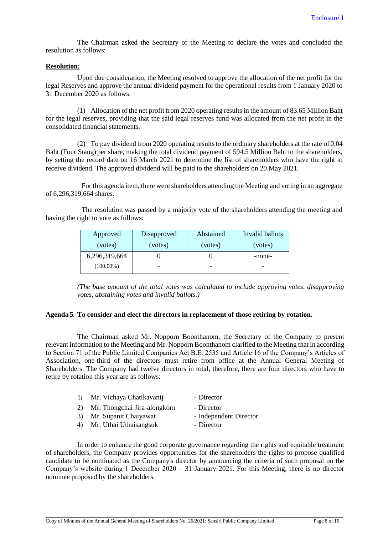The Chairman asked the Secretary of the Meeting to declare the votes and concluded the resolution as follows:

#### **Resolution:**

Upon due consideration, the Meeting resolved to approve the allocation of the net profit for the legal Reserves and approve the annual dividend payment for the operational results from 1 January 2020 to 31 December 2020 as follows:

(1) Allocation of the net profit from 2020 operating results in the amount of 83.65 Million Baht for the legal reserves, providing that the said legal reserves fund was allocated from the net profit in the consolidated financial statements.

(2) To pay dividend from 2020 operating resultsto the ordinary shareholders at the rate of 0.04 Baht (Four Stang) per share, making the total dividend payment of 594.5 Million Baht to the shareholders, by setting the record date on 16 March 2021 to determine the list of shareholders who have the right to receive dividend. The approved dividend will be paid to the shareholders on 20 May 2021.

For this agenda item, there were shareholders attending the Meeting and voting in an aggregate of 6,296,319,664 shares.

The resolution was passed by a majority vote of the shareholders attending the meeting and having the right to vote as follows:

| Approved      | Disapproved | Abstained | Invalid ballots |
|---------------|-------------|-----------|-----------------|
| (votes)       | (votes)     | (votes)   | (votes)         |
| 6,296,319,664 |             |           | -none-          |
| $(100.00\%)$  |             |           |                 |

*(The base amount of the total votes was calculated to include approving votes, disapproving votes, abstaining votes and invalid ballots.)*

## **Agenda 5. To consider and elect the directors in replacement of those retiring by rotation.**

The Chairman asked Mr. Nopporn Boonthanom, the Secretary of the Company to present relevant information to the Meeting and Mr. Nopporn Boonthanom clarified to the Meeting that in according to Section 71 of the Public Limited Companies Act B.E. 2535 and Article 16 of the Company's Articles of Association, one-third of the directors must retire from office at the Annual General Meeting of Shareholders. The Company had twelve directors in total, therefore, there are four directors who have to retire by rotation this year are as follows:

| 1) Mr. Vichaya Chatikavanij     | - Director             |
|---------------------------------|------------------------|
| 2) Mr. Thongchai Jira-alongkorn | - Director             |
| 3) Mr. Supanit Chaiyawat        | - Independent Director |
| 4) Mr. Uthai Uthaisangsuk       | - Director             |

In order to enhance the good corporate governance regarding the rights and equitable treatment of shareholders, the Company provides opportunities for the shareholders the rights to propose qualified candidate to be nominated as the Company's director by announcing the criteria of such proposal on the Company's website during 1 December 2020 – 31 January 2021. For this Meeting, there is no director nominee proposed by the shareholders.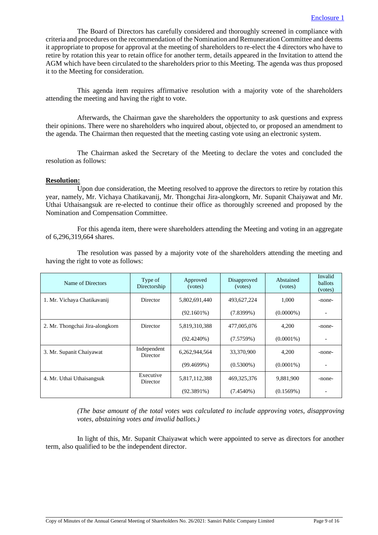The Board of Directors has carefully considered and thoroughly screened in compliance with criteria and procedures on the recommendation of the Nomination and Remuneration Committee and deems it appropriate to propose for approval at the meeting of shareholders to re-elect the 4 directors who have to retire by rotation this year to retain office for another term, details appeared in the Invitation to attend the AGM which have been circulated to the shareholders prior to this Meeting. The agenda was thus proposed it to the Meeting for consideration.

This agenda item requires affirmative resolution with a majority vote of the shareholders attending the meeting and having the right to vote.

Afterwards, the Chairman gave the shareholders the opportunity to ask questions and express their opinions. There were no shareholders who inquired about, objected to, or proposed an amendment to the agenda. The Chairman then requested that the meeting casting vote using an electronic system.

The Chairman asked the Secretary of the Meeting to declare the votes and concluded the resolution as follows:

#### **Resolution:**

Upon due consideration, the Meeting resolved to approve the directors to retire by rotation this year, namely, Mr. Vichaya Chatikavanij, Mr. Thongchai Jira-alongkorn, Mr. Supanit Chaiyawat and Mr. Uthai Uthaisangsuk are re-elected to continue their office as thoroughly screened and proposed by the Nomination and Compensation Committee.

For this agenda item, there were shareholders attending the Meeting and voting in an aggregate of 6,296,319,664 shares.

The resolution was passed by a majority vote of the shareholders attending the meeting and having the right to vote as follows:

| Name of Directors               | Type of<br>Directorship | Approved<br>(votes) | Disapproved<br>(votes) | Abstained<br>(votes) | Invalid<br>ballots<br>(votes) |
|---------------------------------|-------------------------|---------------------|------------------------|----------------------|-------------------------------|
| 1. Mr. Vichaya Chatikavanij     | Director                | 5,802,691,440       | 493,627,224            | 1,000                | -none-                        |
|                                 |                         | $(92.1601\%)$       | $(7.8399\%)$           | $(0.0000\%)$         |                               |
| 2. Mr. Thongchai Jira-alongkorn | Director                | 5,819,310,388       | 477,005,076            | 4,200                | -none-                        |
|                                 |                         | $(92.4240\%)$       | (7.5759%)              | $(0.0001\%)$         |                               |
| 3. Mr. Supanit Chaiyawat        | Independent<br>Director | 6,262,944,564       | 33,370,900             | 4,200                | -none-                        |
|                                 |                         | (99.4699%)          | $(0.5300\%)$           | $(0.0001\%)$         |                               |
| 4. Mr. Uthai Uthaisangsuk       | Executive<br>Director   | 5,817,112,388       | 469, 325, 376          | 9,881,900            | -none-                        |
|                                 |                         | $(92.3891\%)$       | $(7.4540\%)$           | (0.1569%)            |                               |

*(The base amount of the total votes was calculated to include approving votes, disapproving votes, abstaining votes and invalid ballots.)*

In light of this, Mr. Supanit Chaiyawat which were appointed to serve as directors for another term, also qualified to be the independent director.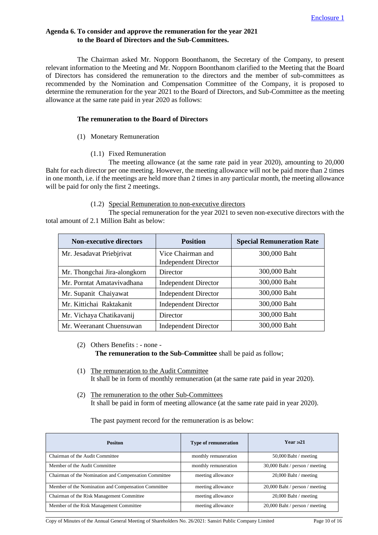# **Agenda 6. To consider and approve the remuneration for the year 2021 to the Board of Directors and the Sub-Committees.**

The Chairman asked Mr. Nopporn Boonthanom, the Secretary of the Company, to present relevant information to the Meeting and Mr. Nopporn Boonthanom clarified to the Meeting that the Board of Directors has considered the remuneration to the directors and the member of sub-committees as recommended by the Nomination and Compensation Committee of the Company, it is proposed to determine the remuneration for the year 2021 to the Board of Directors, and Sub-Committee as the meeting allowance at the same rate paid in year 2020 as follows:

#### **The remuneration to the Board of Directors**

- (1) Monetary Remuneration
	- (1.1) Fixed Remuneration

The meeting allowance (at the same rate paid in year 2020), amounting to 20,000 Baht for each director per one meeting. However, the meeting allowance will not be paid more than 2 times in one month, i.e. if the meetings are held more than 2 times in any particular month, the meeting allowance will be paid for only the first 2 meetings.

#### (1.2) Special Remuneration to non-executive directors

The special remuneration for the year 2021 to seven non-executive directors with the total amount of 2.1 Million Baht as below:

| <b>Non-executive directors</b> | <b>Position</b>             | <b>Special Remuneration Rate</b> |
|--------------------------------|-----------------------------|----------------------------------|
| Mr. Jesadavat Priebjrivat      | Vice Chairman and           | 300,000 Baht                     |
|                                | <b>Independent Director</b> |                                  |
| Mr. Thongchai Jira-alongkorn   | Director                    | 300,000 Baht                     |
| Mr. Porntat Amatavivadhana     | <b>Independent Director</b> | 300,000 Baht                     |
| Mr. Supanit Chaiyawat          | <b>Independent Director</b> | 300,000 Baht                     |
| Mr. Kittichai Raktakanit       | <b>Independent Director</b> | 300,000 Baht                     |
| Mr. Vichaya Chatikavanij       | Director                    | 300,000 Baht                     |
| Mr. Weeranant Chuensuwan       | <b>Independent Director</b> | 300,000 Baht                     |

- (2) Others Benefits : none **The remuneration to the Sub-Committee** shall be paid as follow;
- (1) The remuneration to the Audit Committee It shall be in form of monthly remuneration (at the same rate paid in year 2020).
- (2) The remuneration to the other Sub-Committees It shall be paid in form of meeting allowance (at the same rate paid in year 2020).

The past payment record for the remuneration is as below:

| <b>Positon</b>                                        | <b>Type of remuneration</b> | Year $2021$                    |
|-------------------------------------------------------|-----------------------------|--------------------------------|
| Chairman of the Audit Committee                       | monthly remuneration        | $50,000$ Baht / meeting        |
| Member of the Audit Committee                         | monthly remuneration        | 30,000 Baht / person / meeting |
| Chairman of the Nomination and Compensation Committee | meeting allowance           | $20,000$ Baht / meeting        |
| Member of the Nomination and Compensation Committee   | meeting allowance           | 20,000 Baht / person / meeting |
| Chairman of the Risk Management Committee             | meeting allowance           | $20,000$ Baht / meeting        |
| Member of the Risk Management Committee               | meeting allowance           | 20,000 Baht / person / meeting |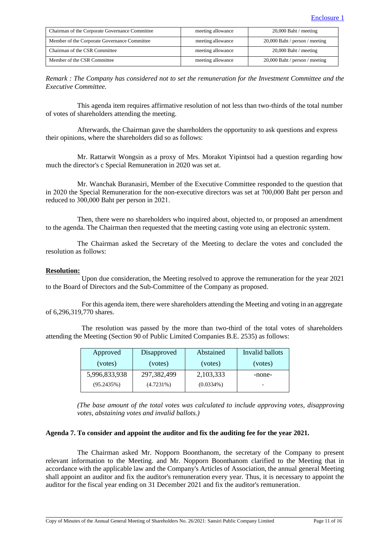| Chairman of the Corporate Governance Committee | meeting allowance | $20,000$ Baht / meeting        |
|------------------------------------------------|-------------------|--------------------------------|
| Member of the Corporate Governance Committee   | meeting allowance | 20,000 Baht / person / meeting |
| Chairman of the CSR Committee                  | meeting allowance | $20,000$ Baht / meeting        |
| Member of the CSR Committee                    | meeting allowance | 20,000 Baht / person / meeting |

*Remark : The Company has considered not to set the remuneration for the Investment Committee and the Executive Committee.*

This agenda item requires affirmative resolution of not less than two-thirds of the total number of votes of shareholders attending the meeting.

Afterwards, the Chairman gave the shareholders the opportunity to ask questions and express their opinions, where the shareholders did so as follows:

Mr. Rattarwit Wongsin as a proxy of Mrs. Morakot Yipintsoi had a question regarding how much the director's c Special Remuneration in 2020 was set at.

Mr. Wanchak Buranasiri, Member of the Executive Committee responded to the question that in 2020 the Special Remuneration for the non-executive directors was set at 700,000 Baht per person and reduced to 300,000 Baht per person in 2021.

Then, there were no shareholders who inquired about, objected to, or proposed an amendment to the agenda. The Chairman then requested that the meeting casting vote using an electronic system.

The Chairman asked the Secretary of the Meeting to declare the votes and concluded the resolution as follows:

## **Resolution:**

Upon due consideration, the Meeting resolved to approve the remuneration for the year 2021 to the Board of Directors and the Sub-Committee of the Company as proposed.

For this agenda item, there were shareholders attending the Meeting and voting in an aggregate of 6,296,319,770 shares.

The resolution was passed by the more than two-third of the total votes of shareholders attending the Meeting (Section 90 of Public Limited Companies B.E. 2535) as follows:

| Approved      | Disapproved   | Abstained    | Invalid ballots |
|---------------|---------------|--------------|-----------------|
| (votes)       | (votes)       | (votes)      | (votes)         |
| 5,996,833,938 | 297, 382, 499 | 2, 103, 333  | -none-          |
| (95.2435%)    | $(4.7231\%)$  | $(0.0334\%)$ |                 |

*(The base amount of the total votes was calculated to include approving votes, disapproving votes, abstaining votes and invalid ballots.)*

## **Agenda 7. To consider and appoint the auditor and fix the auditing fee for the year 2021.**

The Chairman asked Mr. Nopporn Boonthanom, the secretary of the Company to present relevant information to the Meeting. and Mr. Nopporn Boonthanom clarified to the Meeting that in accordance with the applicable law and the Company's Articles of Association, the annual general Meeting shall appoint an auditor and fix the auditor's remuneration every year. Thus, it is necessary to appoint the auditor for the fiscal year ending on 31 December 2021 and fix the auditor's remuneration.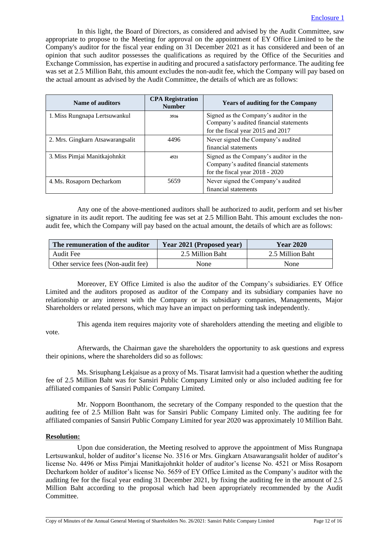In this light, the Board of Directors, as considered and advised by the Audit Committee, saw appropriate to propose to the Meeting for approval on the appointment of EY Office Limited to be the Company's auditor for the fiscal year ending on 31 December 2021 as it has considered and been of an opinion that such auditor possesses the qualifications as required by the Office of the Securities and Exchange Commission, has expertise in auditing and procured a satisfactory performance. The auditing fee was set at 2.5 Million Baht, this amount excludes the non-audit fee, which the Company will pay based on the actual amount as advised by the Audit Committee, the details of which are as follows:

| Name of auditors                 | <b>CPA Registration</b><br><b>Number</b> | <b>Years of auditing for the Company</b>                                                                              |
|----------------------------------|------------------------------------------|-----------------------------------------------------------------------------------------------------------------------|
| 1. Miss Rungnapa Lertsuwankul    | 3516                                     | Signed as the Company's auditor in the<br>Company's audited financial statements<br>for the fiscal year 2015 and 2017 |
| 2. Mrs. Gingkarn Atsawarangsalit | 4496                                     | Never signed the Company's audited<br>financial statements                                                            |
| 3. Miss Pimjai Manitkajohnkit    | 4521                                     | Signed as the Company's auditor in the<br>Company's audited financial statements<br>for the fiscal year 2018 - 2020   |
| 4. Ms. Rosaporn Decharkom        | 5659                                     | Never signed the Company's audited<br>financial statements                                                            |

Any one of the above-mentioned auditors shall be authorized to audit, perform and set his/her signature in its audit report. The auditing fee was set at 2.5 Million Baht. This amount excludes the nonaudit fee, which the Company will pay based on the actual amount, the details of which are as follows:

| The remuneration of the auditor    | Year 2021 (Proposed year) | <b>Year 2020</b> |  |
|------------------------------------|---------------------------|------------------|--|
| Audit Fee                          | 2.5 Million Baht          | 2.5 Million Baht |  |
| Other service fees (Non-audit fee) | None                      | None             |  |

Moreover, EY Office Limited is also the auditor of the Company's subsidiaries. EY Office Limited and the auditors proposed as auditor of the Company and its subsidiary companies have no relationship or any interest with the Company or its subsidiary companies, Managements, Major Shareholders or related persons, which may have an impact on performing task independently.

This agenda item requires majority vote of shareholders attending the meeting and eligible to vote.

Afterwards, the Chairman gave the shareholders the opportunity to ask questions and express their opinions, where the shareholders did so as follows:

Ms. Srisuphang Lekjaisue as a proxy of Ms. Tisarat Iamvisit had a question whether the auditing fee of 2.5 Million Baht was for Sansiri Public Company Limited only or also included auditing fee for affiliated companies of Sansiri Public Company Limited.

Mr. Nopporn Boonthanom, the secretary of the Company responded to the question that the auditing fee of 2.5 Million Baht was for Sansiri Public Company Limited only. The auditing fee for affiliated companies of Sansiri Public Company Limited for year 2020 was approximately 10 Million Baht.

# **Resolution:**

Upon due consideration, the Meeting resolved to approve the appointment of Miss Rungnapa Lertsuwankul, holder of auditor's license No. 3516 or Mrs. Gingkarn Atsawarangsalit holder of auditor's license No. 4496 or Miss Pimjai Manitkajohnkit holder of auditor's license No. 4521 or Miss Rosaporn Decharkom holder of auditor's license No. 5659 of EY Office Limited as the Company's auditor with the auditing fee for the fiscal year ending 31 December 2021, by fixing the auditing fee in the amount of 2.5 Million Baht according to the proposal which had been appropriately recommended by the Audit Committee.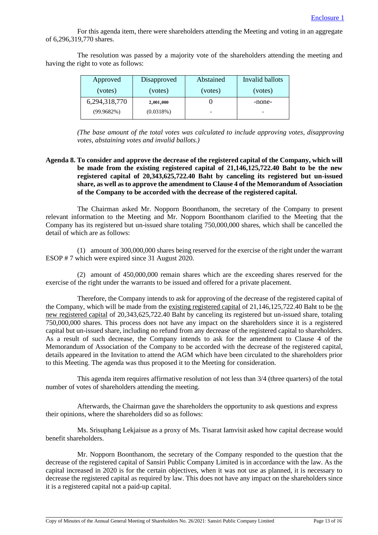For this agenda item, there were shareholders attending the Meeting and voting in an aggregate of 6,296,319,770 shares.

The resolution was passed by a majority vote of the shareholders attending the meeting and having the right to vote as follows:

| Approved      | Disapproved | Abstained                | Invalid ballots |
|---------------|-------------|--------------------------|-----------------|
| (votes)       | (votes)     | (votes)                  | (votes)         |
| 6,294,318,770 | 2,001,000   |                          | -none-          |
| (99.9682%)    | (0.0318%)   | $\overline{\phantom{0}}$ |                 |

*(The base amount of the total votes was calculated to include approving votes, disapproving votes, abstaining votes and invalid ballots.)*

## **Agenda 8. To consider and approve the decrease of the registered capital of the Company, which will be made from the existing registered capital of 21,146,125,722.40 Baht to be the new registered capital of 20,343,625,722.40 Baht by canceling its registered but un-issued share, as well as to approve the amendment to Clause 4 of the Memorandum of Association of the Company to be accorded with the decrease of the registered capital.**

The Chairman asked Mr. Nopporn Boonthanom, the secretary of the Company to present relevant information to the Meeting and Mr. Nopporn Boonthanom clarified to the Meeting that the Company has its registered but un-issued share totaling 750,000,000 shares, which shall be cancelled the detail of which are as follows:

(1) amount of 300,000,000 shares being reserved for the exercise of the right under the warrant ESOP # 7 which were expired since 31 August 2020.

(2) amount of 450,000,000 remain shares which are the exceeding shares reserved for the exercise of the right under the warrants to be issued and offered for a private placement.

Therefore, the Company intends to ask for approving of the decrease of the registered capital of the Company, which will be made from the existing registered capital of 21,146,125,722.40 Baht to be the new registered capital of 20,343,625,722.40 Baht by canceling its registered but un-issued share, totaling 750,000,000 shares. This process does not have any impact on the shareholders since it is a registered capital but un-issued share, including no refund from any decrease of the registered capital to shareholders. As a result of such decrease, the Company intends to ask for the amendment to Clause 4 of the Memorandum of Association of the Company to be accorded with the decrease of the registered capital, details appeared in the Invitation to attend the AGM which have been circulated to the shareholders prior to this Meeting. The agenda was thus proposed it to the Meeting for consideration.

This agenda item requires affirmative resolution of not less than 3/4 (three quarters) of the total number of votes of shareholders attending the meeting.

Afterwards, the Chairman gave the shareholders the opportunity to ask questions and express their opinions, where the shareholders did so as follows:

Ms. Srisuphang Lekjaisue as a proxy of Ms. Tisarat Iamvisit asked how capital decrease would benefit shareholders.

Mr. Nopporn Boonthanom, the secretary of the Company responded to the question that the decrease of the registered capital of Sansiri Public Company Limited is in accordance with the law. As the capital increased in 2020 is for the certain objectives, when it was not use as planned, it is necessary to decrease the registered capital as required by law. This does not have any impact on the shareholders since it is a registered capital not a paid-up capital.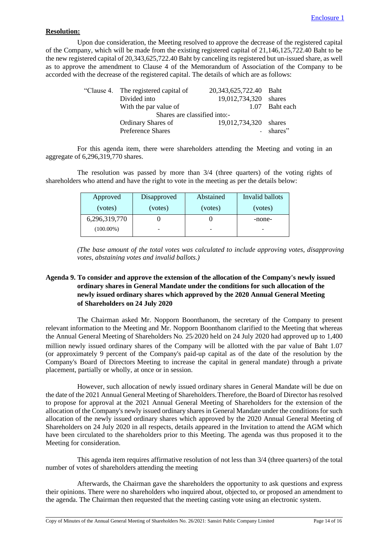# **Resolution:**

Upon due consideration, the Meeting resolved to approve the decrease of the registered capital of the Company, which will be made from the existing registered capital of 21,146,125,722.40 Baht to be the new registered capital of 20,343,625,722.40 Baht by canceling its registered but un-issued share, as well as to approve the amendment to Clause 4 of the Memorandum of Association of the Company to be accorded with the decrease of the registered capital. The details of which are as follows:

| 20,343,625,722.40 Baht<br>"Clause 4. The registered capital of |                |
|----------------------------------------------------------------|----------------|
| 19,012,734,320 shares<br>Divided into                          |                |
| With the par value of                                          | 1.07 Baht each |
| Shares are classified into:-                                   |                |
| 19,012,734,320 shares<br>Ordinary Shares of                    |                |
| Preference Shares                                              | - shares"      |

For this agenda item, there were shareholders attending the Meeting and voting in an aggregate of 6,296,319,770 shares.

The resolution was passed by more than 3/4 (three quarters) of the voting rights of shareholders who attend and have the right to vote in the meeting as per the details below:

| Approved      | Disapproved | Abstained | Invalid ballots |
|---------------|-------------|-----------|-----------------|
| (votes)       | (votes)     | (votes)   | (votes)         |
| 6,296,319,770 |             |           | -none-          |
| $(100.00\%)$  |             |           |                 |

*(The base amount of the total votes was calculated to include approving votes, disapproving votes, abstaining votes and invalid ballots.)*

# **Agenda 9. To consider and approve the extension of the allocation of the Company's newly issued ordinary shares in General Mandate under the conditions for such allocation of the newly issued ordinary shares which approved by the 2020 Annual General Meeting of Shareholders on 24 July 2020**

The Chairman asked Mr. Nopporn Boonthanom, the secretary of the Company to present relevant information to the Meeting and Mr. Nopporn Boonthanom clarified to the Meeting that whereas the Annual General Meeting of Shareholders No. 25/2020 held on 24 July 2020 had approved up to 1,400 million newly issued ordinary shares of the Company will be allotted with the par value of Baht 1.07 (or approximately 9 percent of the Company's paid-up capital as of the date of the resolution by the Company's Board of Directors Meeting to increase the capital in general mandate) through a private placement, partially or wholly, at once or in session.

However, such allocation of newly issued ordinary shares in General Mandate will be due on the date of the 2021 Annual General Meeting of Shareholders.Therefore, the Board of Director has resolved to propose for approval at the 2021 Annual General Meeting of Shareholders for the extension of the allocation of the Company's newly issued ordinary shares in General Mandate under the conditions for such allocation of the newly issued ordinary shares which approved by the 2020 Annual General Meeting of Shareholders on 24 July 2020 in all respects, details appeared in the Invitation to attend the AGM which have been circulated to the shareholders prior to this Meeting. The agenda was thus proposed it to the Meeting for consideration.

This agenda item requires affirmative resolution of not less than 3/4 (three quarters) of the total number of votes of shareholders attending the meeting

Afterwards, the Chairman gave the shareholders the opportunity to ask questions and express their opinions. There were no shareholders who inquired about, objected to, or proposed an amendment to the agenda. The Chairman then requested that the meeting casting vote using an electronic system.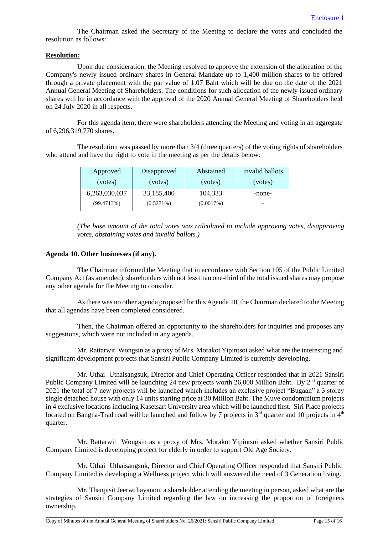The Chairman asked the Secretary of the Meeting to declare the votes and concluded the resolution as follows:

## **Resolution:**

Upon due consideration, the Meeting resolved to approve the extension of the allocation of the Company's newly issued ordinary shares in General Mandate up to 1,400 million shares to be offered through a private placement with the par value of 1.07 Baht which will be due on the date of the 2021 Annual General Meeting of Shareholders. The conditions for such allocation of the newly issued ordinary shares will be in accordance with the approval of the 2020 Annual General Meeting of Shareholders held on 24 July 2020 in all respects.

For this agenda item, there were shareholders attending the Meeting and voting in an aggregate of 6,296,319,770 shares.

The resolution was passed by more than 3/4 (three quarters) of the voting rights of shareholders who attend and have the right to vote in the meeting as per the details below:

| Approved      | Disapproved  | Abstained | Invalid ballots |
|---------------|--------------|-----------|-----------------|
| (votes)       | (votes)      | (votes)   | (votes)         |
| 6,263,030,037 | 33,185,400   | 104,333   | -none-          |
| (99.4713%)    | $(0.5271\%)$ | (0.0017%) |                 |

*(The base amount of the total votes was calculated to include approving votes, disapproving votes, abstaining votes and invalid ballots.)*

#### **Agenda 10. Other businesses (if any).**

The Chairman informed the Meeting that in accordance with Section 105 of the Public Limited Company Act (as amended), shareholders with not less than one-third of the total issued shares may propose any other agenda for the Meeting to consider.

As there was no other agenda proposed for this Agenda 10, the Chairman declared to the Meeting that all agendas have been completed considered.

Then, the Chairman offered an opportunity to the shareholders for inquiries and proposes any suggestions, which were not included in any agenda.

Mr. Rattarwit Wongsin as a proxy of Mrs. Morakot Yipintsoi asked what are the interesting and significant development projects that Sansiri Public Company Limited is currently developing.

Mr. Uthai Uthaisangsuk, Director and Chief Operating Officer responded that in 2021 Sansiri Public Company Limited will be launching 24 new projects worth 26,000 Million Baht. By 2<sup>nd</sup> quarter of 2021 the total of 7 new projects will be launched which includes an exclusive project "Bugaan" a 3 storey single detached house with only 14 units starting price at 30 Million Baht. The Muve condominium projects in 4 exclusive locations including Kasetsart University area which will be launched first. Siri Place projects located on Bangna-Trad road will be launched and follow by 7 projects in 3<sup>rd</sup> quarter and 10 projects in 4<sup>th</sup> quarter.

Mr. Rattarwit Wongsin as a proxy of Mrs. Morakot Yipintsoi asked whether Sansiri Public Company Limited is developing project for elderly in order to support Old Age Society.

Mr. Uthai Uthaisangsuk, Director and Chief Operating Officer responded that Sansiri Public Company Limited is developing a Wellness project which will answered the need of 3 Generation living.

Mr. Thanpisit Jeerwchayanon, a shareholder attending the meeting in person, asked what are the strategies of Sansiri Company Limited regarding the law on increasing the proportion of foreigners ownership.